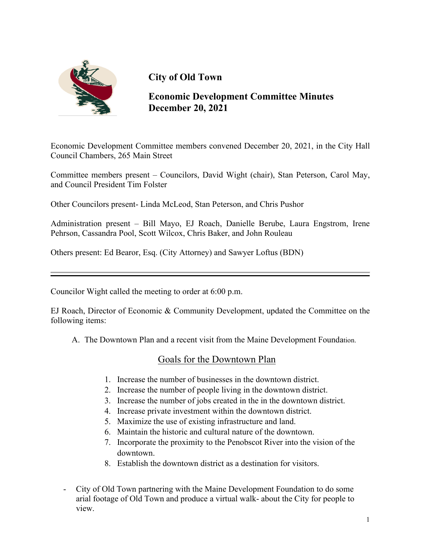

# **City of Old Town**

**Economic Development Committee Minutes December 20, 2021**

Economic Development Committee members convened December 20, 2021, in the City Hall Council Chambers, 265 Main Street

Committee members present – Councilors, David Wight (chair), Stan Peterson, Carol May, and Council President Tim Folster

Other Councilors present- Linda McLeod, Stan Peterson, and Chris Pushor

Administration present – Bill Mayo, EJ Roach, Danielle Berube, Laura Engstrom, Irene Pehrson, Cassandra Pool, Scott Wilcox, Chris Baker, and John Rouleau

Others present: Ed Bearor, Esq. (City Attorney) and Sawyer Loftus (BDN)

Councilor Wight called the meeting to order at 6:00 p.m.

EJ Roach, Director of Economic & Community Development, updated the Committee on the following items:

A. The Downtown Plan and a recent visit from the Maine Development Foundation.

### Goals for the Downtown Plan

- 1. Increase the number of businesses in the downtown district.
- 2. Increase the number of people living in the downtown district.
- 3. Increase the number of jobs created in the in the downtown district.
- 4. Increase private investment within the downtown district.
- 5. Maximize the use of existing infrastructure and land.
- 6. Maintain the historic and cultural nature of the downtown.
- 7. Incorporate the proximity to the Penobscot River into the vision of the downtown.
- 8. Establish the downtown district as a destination for visitors.
- City of Old Town partnering with the Maine Development Foundation to do some arial footage of Old Town and produce a virtual walk- about the City for people to view.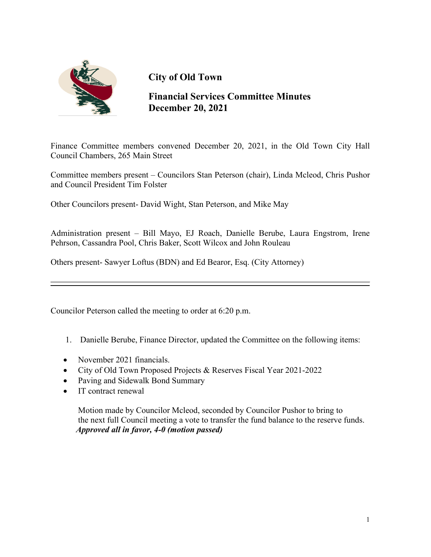

# **City of Old Town**

**Financial Services Committee Minutes December 20, 2021**

Finance Committee members convened December 20, 2021, in the Old Town City Hall Council Chambers, 265 Main Street

Committee members present – Councilors Stan Peterson (chair), Linda Mcleod, Chris Pushor and Council President Tim Folster

Other Councilors present- David Wight, Stan Peterson, and Mike May

Administration present – Bill Mayo, EJ Roach, Danielle Berube, Laura Engstrom, Irene Pehrson, Cassandra Pool, Chris Baker, Scott Wilcox and John Rouleau

Others present- Sawyer Loftus (BDN) and Ed Bearor, Esq. (City Attorney)

Councilor Peterson called the meeting to order at 6:20 p.m.

- 1. Danielle Berube, Finance Director, updated the Committee on the following items:
- November 2021 financials.
- City of Old Town Proposed Projects & Reserves Fiscal Year 2021-2022
- Paving and Sidewalk Bond Summary
- IT contract renewal

Motion made by Councilor Mcleod, seconded by Councilor Pushor to bring to the next full Council meeting a vote to transfer the fund balance to the reserve funds. *Approved all in favor, 4-0 (motion passed)*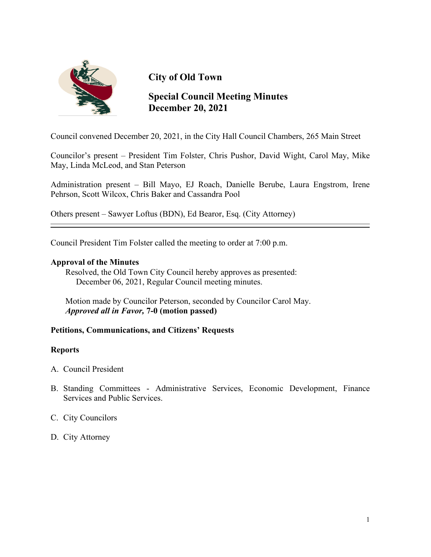

# **City of Old Town**

## **Special Council Meeting Minutes December 20, 2021**

Council convened December 20, 2021, in the City Hall Council Chambers, 265 Main Street

Councilor's present – President Tim Folster, Chris Pushor, David Wight, Carol May, Mike May, Linda McLeod, and Stan Peterson

Administration present – Bill Mayo, EJ Roach, Danielle Berube, Laura Engstrom, Irene Pehrson, Scott Wilcox, Chris Baker and Cassandra Pool

Others present – Sawyer Loftus (BDN), Ed Bearor, Esq. (City Attorney)

Council President Tim Folster called the meeting to order at 7:00 p.m.

#### **Approval of the Minutes**

 Resolved, the Old Town City Council hereby approves as presented: December 06, 2021, Regular Council meeting minutes.

 Motion made by Councilor Peterson, seconded by Councilor Carol May. *Approved all in Favor,* **7-0 (motion passed)**

#### **Petitions, Communications, and Citizens' Requests**

#### **Reports**

- A. Council President
- B. Standing Committees Administrative Services, Economic Development, Finance Services and Public Services.
- C. City Councilors
- D. City Attorney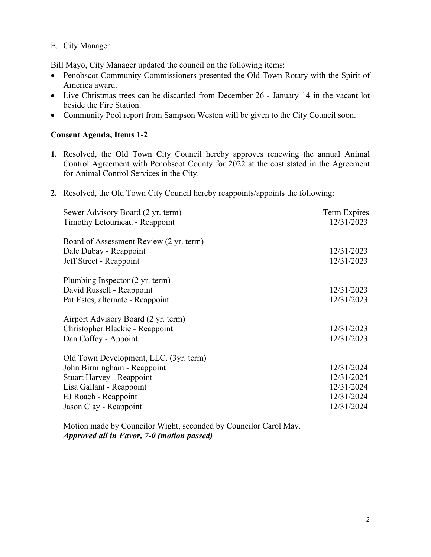#### E. City Manager

Bill Mayo, City Manager updated the council on the following items:

- Penobscot Community Commissioners presented the Old Town Rotary with the Spirit of America award.
- Live Christmas trees can be discarded from December 26 January 14 in the vacant lot beside the Fire Station.
- Community Pool report from Sampson Weston will be given to the City Council soon.

#### **Consent Agenda, Items 1-2**

- **1.** Resolved, the Old Town City Council hereby approves renewing the annual Animal Control Agreement with Penobscot County for 2022 at the cost stated in the Agreement for Animal Control Services in the City.
- **2.** Resolved, the Old Town City Council hereby reappoints/appoints the following:

| Sewer Advisory Board (2 yr. term)              | <b>Term Expires</b> |
|------------------------------------------------|---------------------|
| Timothy Letourneau - Reappoint                 | 12/31/2023          |
|                                                |                     |
| <b>Board of Assessment Review (2 yr. term)</b> |                     |
| Dale Dubay - Reappoint                         | 12/31/2023          |
| Jeff Street - Reappoint                        | 12/31/2023          |
|                                                |                     |
| Plumbing Inspector $(2 \text{ yr. term})$      |                     |
| David Russell - Reappoint                      | 12/31/2023          |
| Pat Estes, alternate - Reappoint               | 12/31/2023          |
|                                                |                     |
| Airport Advisory Board (2 yr. term)            |                     |
| Christopher Blackie - Reappoint                | 12/31/2023          |
| Dan Coffey - Appoint                           | 12/31/2023          |
|                                                |                     |
| Old Town Development, LLC. (3yr. term)         | 12/31/2024          |
| John Birmingham - Reappoint                    |                     |
| Stuart Harvey - Reappoint                      | 12/31/2024          |
| Lisa Gallant - Reappoint                       | 12/31/2024          |
| EJ Roach - Reappoint                           | 12/31/2024          |
| Jason Clay - Reappoint                         | 12/31/2024          |
|                                                |                     |

 Motion made by Councilor Wight, seconded by Councilor Carol May. *Approved all in Favor, 7-0 (motion passed)*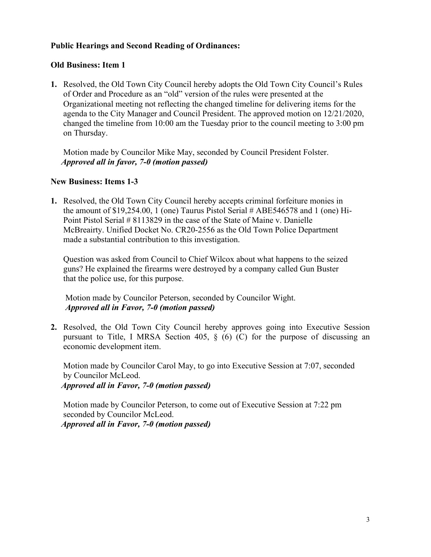#### **Public Hearings and Second Reading of Ordinances:**

#### **Old Business: Item 1**

**1.** Resolved, the Old Town City Council hereby adopts the Old Town City Council's Rules of Order and Procedure as an "old" version of the rules were presented at the Organizational meeting not reflecting the changed timeline for delivering items for the agenda to the City Manager and Council President. The approved motion on 12/21/2020, changed the timeline from 10:00 am the Tuesday prior to the council meeting to 3:00 pm on Thursday.

 Motion made by Councilor Mike May, seconded by Council President Folster. *Approved all in favor, 7-0 (motion passed)*

#### **New Business: Items 1-3**

**1.** Resolved, the Old Town City Council hereby accepts criminal forfeiture monies in the amount of \$19,254.00, 1 (one) Taurus Pistol Serial # ABE546578 and 1 (one) Hi-Point Pistol Serial # 8113829 in the case of the State of Maine v. Danielle McBreairty. Unified Docket No. CR20-2556 as the Old Town Police Department made a substantial contribution to this investigation.

Question was asked from Council to Chief Wilcox about what happens to the seized guns? He explained the firearms were destroyed by a company called Gun Buster that the police use, for this purpose.

 Motion made by Councilor Peterson, seconded by Councilor Wight.  *Approved all in Favor, 7-0 (motion passed)*

**2.** Resolved, the Old Town City Council hereby approves going into Executive Session pursuant to Title, I MRSA Section 405,  $\S$  (6) (C) for the purpose of discussing an economic development item.

 Motion made by Councilor Carol May, to go into Executive Session at 7:07, seconded by Councilor McLeod. *Approved all in Favor, 7-0 (motion passed)*

 Motion made by Councilor Peterson, to come out of Executive Session at 7:22 pm seconded by Councilor McLeod. *Approved all in Favor, 7-0 (motion passed)*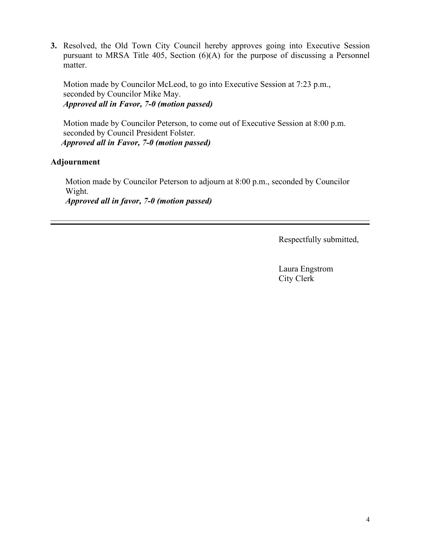**3.** Resolved, the Old Town City Council hereby approves going into Executive Session pursuant to MRSA Title 405, Section (6)(A) for the purpose of discussing a Personnel matter.

 Motion made by Councilor McLeod, to go into Executive Session at 7:23 p.m., seconded by Councilor Mike May. *Approved all in Favor, 7-0 (motion passed)*

 Motion made by Councilor Peterson, to come out of Executive Session at 8:00 p.m. seconded by Council President Folster. *Approved all in Favor, 7-0 (motion passed)*

### **Adjournment**

Motion made by Councilor Peterson to adjourn at 8:00 p.m., seconded by Councilor Wight. *Approved all in favor, 7-0 (motion passed)*

Respectfully submitted,

Laura Engstrom City Clerk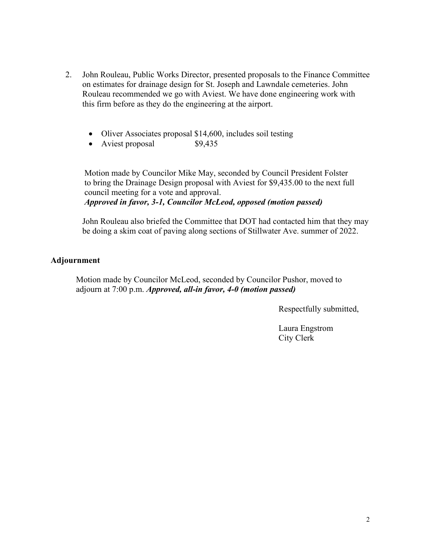- 2. John Rouleau, Public Works Director, presented proposals to the Finance Committee on estimates for drainage design for St. Joseph and Lawndale cemeteries. John Rouleau recommended we go with Aviest. We have done engineering work with this firm before as they do the engineering at the airport.
	- Oliver Associates proposal \$14,600, includes soil testing
	- Aviest proposal \$9,435

 Motion made by Councilor Mike May, seconded by Council President Folster to bring the Drainage Design proposal with Aviest for \$9,435.00 to the next full council meeting for a vote and approval. *Approved in favor, 3-1, Councilor McLeod, opposed (motion passed)*

 John Rouleau also briefed the Committee that DOT had contacted him that they may be doing a skim coat of paving along sections of Stillwater Ave. summer of 2022.

#### **Adjournment**

 Motion made by Councilor McLeod, seconded by Councilor Pushor, moved to adjourn at 7:00 p.m. *Approved, all-in favor, 4-0 (motion passed)*

Respectfully submitted,

Laura Engstrom City Clerk